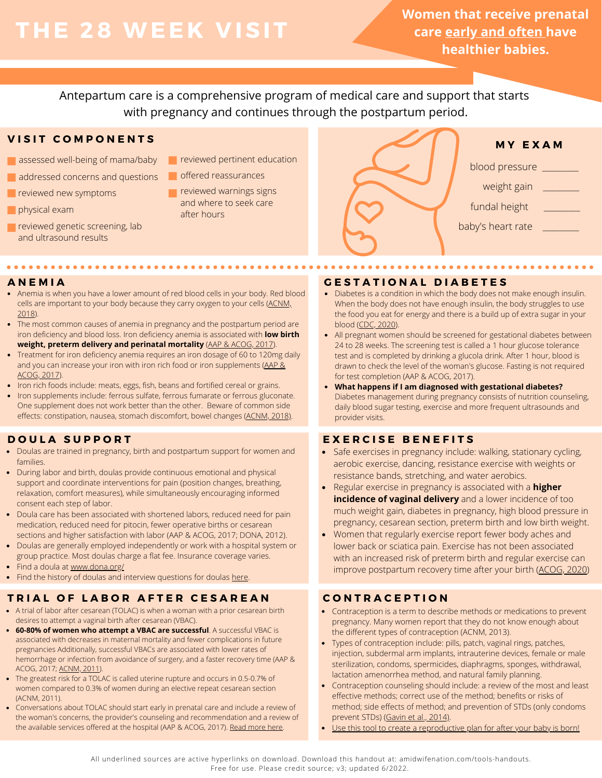# **THE 28 WEE K V ISIT**

**Women that receive prenatal care early and often have healthier babies.**

Antepartum care is a comprehensive program of medical care and support that starts with pregnancy and continues through the postpartum period.

# **V I S I T C O M P O N E N T S**

- assessed well-being of mama/baby
- addressed concerns and questions
- **Part reviewed new symptoms**
- **physical exam**
- reviewed genetic screening, lab and ultrasound results

- **T** reviewed pertinent education
- offered reassurances
- **reviewed warnings signs** and where to seek care after hours



- Anemia is when you have a lower amount of red blood cells in your body. Red blood cells are important to your body because they carry oxygen to your cells ([ACNM,](https://onlinelibrary.wiley.com/doi/10.1111/jmwh.12940) [2018\)](https://onlinelibrary.wiley.com/doi/10.1111/jmwh.12940).
- The most common causes of anemia in pregnancy and the postpartum period are iron deficiency and blood loss. Iron deficiency anemia is associated with **low birth weight, preterm delivery and perinatal mortality** ([AAP & ACOG, 2017\)](https://www.acog.org/clinical-information/physician-faqs/-/media/3a22e153b67446a6b31fb051e469187c.ashx).
- Treatment for iron deficiency anemia requires an iron dosage of 60 to 120mg daily and you can increase your iron with iron rich food or iron supplements ([AAP &](https://www.acog.org/clinical-information/physician-faqs/-/media/3a22e153b67446a6b31fb051e469187c.ashx) [ACOG, 2017](https://www.acog.org/clinical-information/physician-faqs/-/media/3a22e153b67446a6b31fb051e469187c.ashx)).
- Iron rich foods include: meats, eggs, fish, beans and fortified cereal or grains.
- Iron supplements include: ferrous sulfate, ferrous fumarate or ferrous gluconate. One supplement does not work better than the other. Beware of common side effects: constipation, nausea, stomach discomfort, bowel changes ([ACNM, 2018\)](https://onlinelibrary.wiley.com/doi/10.1111/jmwh.12940).

# **D O U L A S U P P O R T**

- Doulas are trained in pregnancy, birth and postpartum support for women and families.
- During labor and birth, doulas provide continuous emotional and physical support and coordinate interventions for pain (position changes, breathing, relaxation, comfort measures), while simultaneously encouraging informed consent each step of labor.
- Doula care has been associated with shortened labors, reduced need for pain medication, reduced need for pitocin, fewer operative births or cesarean sections and higher satisfaction with labor ([AAP & ACOG, 2017;](https://www.acog.org/clinical-information/physician-faqs/-/media/3a22e153b67446a6b31fb051e469187c.ashx) DONA, 2012).
- Doulas are generally employed independently or work with a hospital system or group practice. Most doulas charge a flat fee. Insurance coverage varies.
- Find a doula at [www.dona.org/](https://www.dona.org/)
- Find the history of doulas and interview questions for doulas [here](https://www.dona.org/wp-content/uploads/2018/03/DONA-Birth-Position-Paper-FINAL.pdf).

# TRIAL OF LABOR AFTER CESAREAN CONTRACEPTION

- A trial of labor after cesarean (TOLAC) is when a woman with a prior cesarean birth desires to attempt a vaginal birth after cesarean (VBAC).
- **60-80% of women who attempt a VBAC are successful**. A successful VBAC is associated with decreases in maternal mortality and fewer complications in future pregnancies Additionally, successful VBACs are associated with lower rates of hemorrhage or infection from avoidance of surgery, and a faster recovery time ([AAP &](https://www.acog.org/clinical-information/physician-faqs/-/media/3a22e153b67446a6b31fb051e469187c.ashx) [ACOG, 2017;](https://www.acog.org/clinical-information/physician-faqs/-/media/3a22e153b67446a6b31fb051e469187c.ashx) [ACNM, 2011\)](http://www.midwife.org/ACNM/files/ACNMLibraryData/UPLOADFILENAME/000000000090/VBAC%20Dec%202011.pdf).
- The greatest risk for a TOLAC is called uterine rupture and occurs in 0.5-0.7% of women compared to 0.3% of women during an elective repeat cesarean section (ACNM, 2011).
- Conversations about TOLAC should start early in prenatal care and include a review of the woman's concerns, the provider's counseling and recommendation and a review of the available services offered at the hospital [\(AAP & ACOG, 2017](https://www.acog.org/clinical-information/physician-faqs/-/media/3a22e153b67446a6b31fb051e469187c.ashx)). [Read more here.](https://onlinelibrary.wiley.com/doi/pdf/10.1111/jmwh.12354)

# **A N E M I A G E S T A T I O N A L D I A B E T E S**

- Diabetes is a condition in which the body does not make enough insulin. When the body does not have enough insulin, the body struggles to use the food you eat for energy and there is a build up of extra sugar in your blood [\(CDC, 2020](https://www.cdc.gov/pregnancy/diabetes.html)).
- All pregnant women should be screened for gestational diabetes between 24 to 28 weeks. The screening test is called a 1 hour glucose tolerance test and is completed by drinking a glucola drink. After 1 hour, blood is drawn to check the level of the woman's glucose. Fasting is not required for test completion [\(AAP & ACOG, 2017](https://www.acog.org/clinical-information/physician-faqs/-/media/3a22e153b67446a6b31fb051e469187c.ashx)).
- **What happens if I am diagnosed with gestational diabetes?** Diabetes management during pregnancy consists of nutrition counseling, daily blood sugar testing, exercise and more frequent ultrasounds and provider visits.

# **E X E R C I S E B E N E F I T S**

- Safe exercises in pregnancy include: walking, stationary cycling,  $\bullet$ aerobic exercise, dancing, resistance exercise with weights or resistance bands, stretching, and water aerobics.
- Regular exercise in pregnancy is associated with a **higher incidence of vaginal delivery** and a lower incidence of too much weight gain, diabetes in pregnancy, high blood pressure in pregnancy, cesarean section, preterm birth and low birth weight.
- Women that regularly exercise report fewer body aches and lower back or sciatica pain. Exercise has not been associated with an increased risk of preterm birth and regular exercise can improve postpartum recovery time after your birth ([ACOG, 2020](https://www.acog.org/clinical/clinical-guidance/committee-opinion/articles/2020/04/physical-activity-and-exercise-during-pregnancy-and-the-postpartum-period))

- Contraception is a term to describe methods or medications to prevent pregnancy. Many women report that they do not know enough about the different types of contraception (ACNM, 2013).
- Types of contraception include: pills, patch, vaginal rings, patches, injection, subdermal arm implants, intrauterine devices, female or male sterilization, condoms, spermicides, diaphragms, sponges, withdrawal, lactation amenorrhea method, and natural family planning.
- Contraception counseling should include: a review of the most and least effective methods; correct use of the method; benefits or risks of method; side effects of method; and prevention of STDs (only condoms prevent STDs) ([Gavin et al., 2014\)](https://pubmed.ncbi.nlm.nih.gov/24759690/).
- [Use this tool to create a reproductive plan for after your baby is born!](https://amidwifenationblogspot.files.wordpress.com/2021/09/20210815-contraception-packet-v1.pdf)